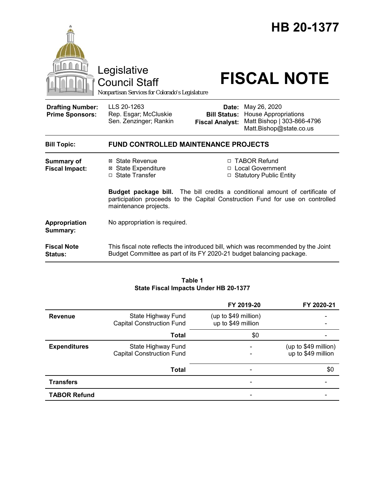

#### **Table 1 State Fiscal Impacts Under HB 20-1377**

|                     |                                                        | FY 2019-20                                 | FY 2020-21                                 |
|---------------------|--------------------------------------------------------|--------------------------------------------|--------------------------------------------|
| <b>Revenue</b>      | State Highway Fund<br><b>Capital Construction Fund</b> | (up to \$49 million)<br>up to \$49 million |                                            |
|                     | Total                                                  | \$0                                        |                                            |
| <b>Expenditures</b> | State Highway Fund<br><b>Capital Construction Fund</b> |                                            | (up to \$49 million)<br>up to \$49 million |
|                     | Total                                                  |                                            | \$0                                        |
| <b>Transfers</b>    |                                                        |                                            |                                            |
| <b>TABOR Refund</b> |                                                        |                                            |                                            |